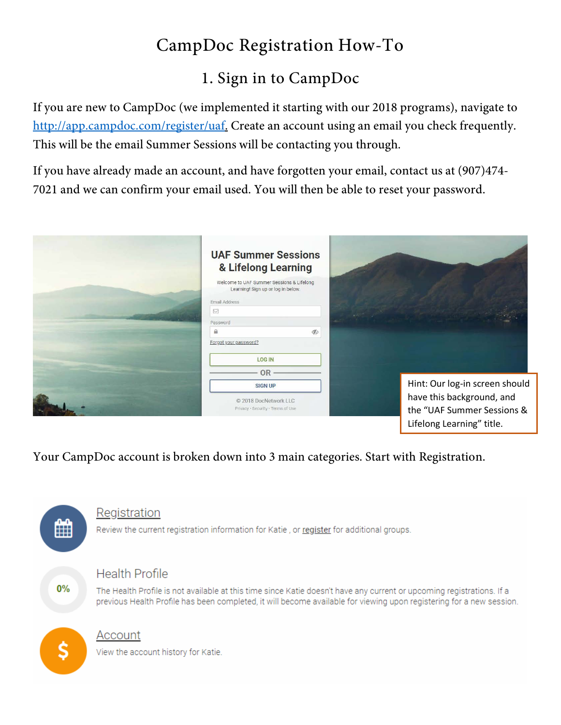# CampDoc Registration How-To

## 1. Sign in to CampDoc

If you are new to CampDoc (we implemented it starting with our 2018 programs), navigate to [http://app.campdoc.com/register/uaf.](http://app.campdoc.com/register/uaf) Create an account using an email you check frequently. This will be the email Summer Sessions will be contacting you through.

If you have already made an account, and have forgotten your email, contact us at (907)474- 7021 and we can confirm your email used. You will then be able to reset your password.

| <b>UAF Summer Sessions</b><br>& Lifelong Learning                               |               |                                |
|---------------------------------------------------------------------------------|---------------|--------------------------------|
| Welcome to UAF Summer Sessions & Lifelong<br>Learning! Sign up or log in below. |               |                                |
| Email Address                                                                   |               |                                |
| $\boxtimes$<br>Password                                                         |               |                                |
| $\mathbf{a}$                                                                    | $\mathscr{G}$ |                                |
| Forgot your password?                                                           |               |                                |
| <b>LOG IN</b>                                                                   |               |                                |
| <b>OR</b>                                                                       |               |                                |
| <b>SIGN UP</b>                                                                  |               | Hint: Our log-in screen should |
| C 2018 DocNetwork LLC                                                           |               | have this background, and      |
| Privacy · Security · Terms of Use                                               |               | the "UAF Summer Sessions &     |
|                                                                                 |               | Lifelong Learning" title.      |

Your CampDoc account is broken down into 3 main categories. Start with Registration.

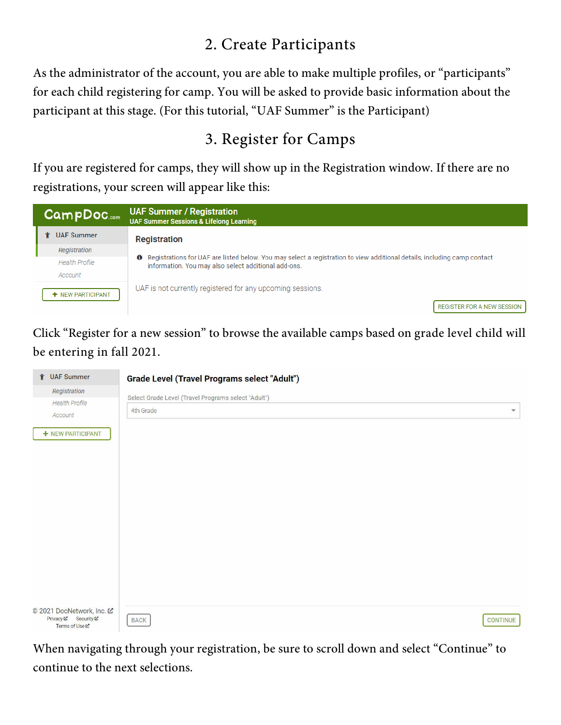### 2. Create Participants

As the administrator of the account, you are able to make multiple profiles, or "participants" for each child registering for camp. You will be asked to provide basic information about the participant at this stage. (For this tutorial, "UAF Summer" is the Participant)

## 3. Register for Camps

If you are registered for camps, they will show up in the Registration window. If there are no registrations, your screen will appear like this:



Click "Register for a new session" to browse the available camps based on grade level child will be entering in fall 2021.

| <b>↑ UAF Summer</b>                                                        | <b>Grade Level (Travel Programs select "Adult")</b> |                         |
|----------------------------------------------------------------------------|-----------------------------------------------------|-------------------------|
| Registration                                                               | Select Grade Level (Travel Programs select "Adult") |                         |
| <b>Health Profile</b><br>Account                                           | 4th Grade                                           | $\overline{\mathbf{v}}$ |
| + NEW PARTICIPANT                                                          |                                                     |                         |
|                                                                            |                                                     |                         |
|                                                                            |                                                     |                         |
|                                                                            |                                                     |                         |
|                                                                            |                                                     |                         |
|                                                                            |                                                     |                         |
|                                                                            |                                                     |                         |
|                                                                            |                                                     |                         |
|                                                                            |                                                     |                         |
| © 2021 DocNetwork, Inc. 区<br>Privacy ⊠ Security ⊠<br>Terms of Use <b>⊠</b> | <b>BACK</b>                                         | <b>CONTINUE</b>         |

When navigating through your registration, be sure to scroll down and select "Continue" to continue to the next selections.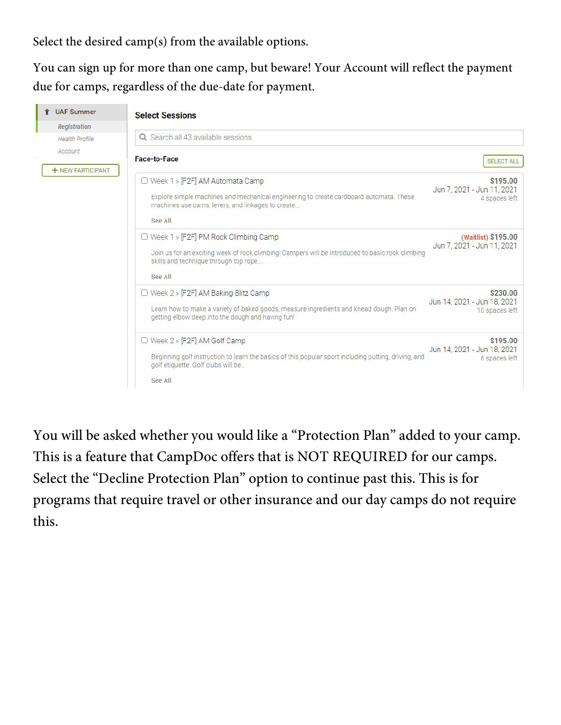Select the desired camp(s) from the available options.

You can sign up for more than one camp, but beware! Your Account will reflect the payment due for camps, regardless of the due-date for payment.

| <b><i>Y</i></b> UAF Summer   | <b>Select Sessions</b>                                                                                                                                                                         |                                                           |
|------------------------------|------------------------------------------------------------------------------------------------------------------------------------------------------------------------------------------------|-----------------------------------------------------------|
| Registration                 |                                                                                                                                                                                                |                                                           |
| <b>Health Profile</b>        | Q. Search all 43 available sessions                                                                                                                                                            |                                                           |
| Account<br>+ NEW PARTICIPANT | <b>Face-to-Face</b>                                                                                                                                                                            | <b>SELECT ALL</b>                                         |
|                              | □ Week 1 » [F2F] AM Automata Camp<br>Explore simple machines and mechanical engineering to create cardboard automata. These<br>machines use cams, levers, and linkages to create<br>See All    | \$195.00<br>Jun 7, 2021 - Jun 11, 2021<br>4 spaces left   |
|                              | □ Week 1 » [F2F] PM Rock Climbing Camp<br>Join us for an exciting week of rock climbing! Campers will be introduced to basic rock climbing<br>skills and technique through top rope<br>See All | (Waitlist) \$195.00<br>Jun 7, 2021 - Jun 11, 2021         |
|                              | □ Week 2 » [F2F] AM Baking Blitz Camp<br>Learn how to make a variety of baked goods, measure ingredients and knead dough. Plan on<br>getting elbow deep into the dough and having fun!         | \$230.00<br>Jun 14, 2021 - Jun 18, 2021<br>10 spaces left |
|                              | $\Box$ Week 2 » [F2F] AM Golf Camp<br>Beginning golf instruction to learn the basics of this popular sport including putting, driving, and<br>golf etiquette. Golf clubs will be<br>See All    | \$195.00<br>Jun 14, 2021 - Jun 18, 2021<br>6 spaces left  |

You will be asked whether you would like a "Protection Plan" added to your camp. This is a feature that CampDoc offers that is NOT REQUIRED for our camps. Select the "Decline Protection Plan" option to continue past this. This is for programs that require travel or other insurance and our day camps do not require this.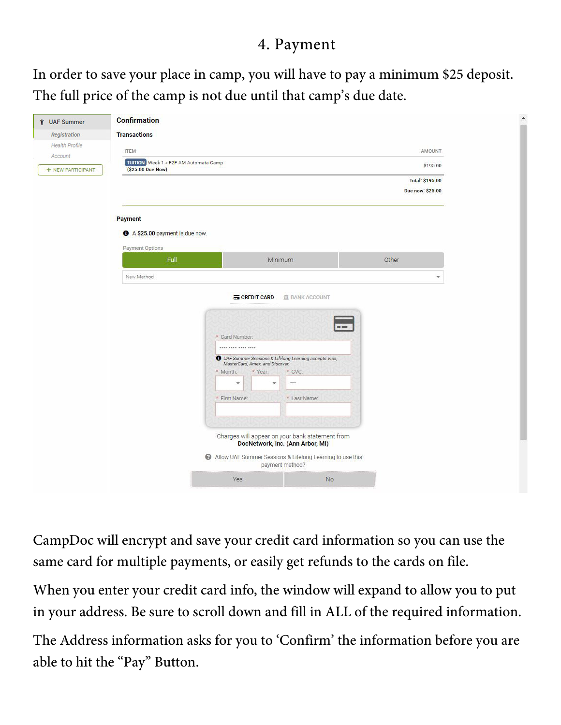#### 4. Payment

In order to save your place in camp, you will have to pay a minimum \$25 deposit. The full price of the camp is not due until that camp's due date.

| <b>↑ UAF Summer</b>   | <b>Confirmation</b>                                        |                                                                                                                                                                             |                                            |
|-----------------------|------------------------------------------------------------|-----------------------------------------------------------------------------------------------------------------------------------------------------------------------------|--------------------------------------------|
| Registration          | <b>Transactions</b>                                        |                                                                                                                                                                             |                                            |
| <b>Health Profile</b> | <b>ITEM</b>                                                |                                                                                                                                                                             | AMOUNT                                     |
| + NEW PARTICIPANT     | TUITION Week 1 » F2F AM Automata Camp<br>(\$25.00 Due Now) |                                                                                                                                                                             | \$195.00                                   |
|                       |                                                            |                                                                                                                                                                             | <b>Total: \$195.00</b><br>Due now: \$25.00 |
|                       | Payment                                                    |                                                                                                                                                                             |                                            |
|                       | A \$25.00 payment is due now.                              |                                                                                                                                                                             |                                            |
|                       | <b>Payment Options</b><br>Full                             | Minimum                                                                                                                                                                     | Other                                      |
|                       | New Method                                                 |                                                                                                                                                                             | $\overline{\mathbf{v}}$                    |
|                       |                                                            | * Card Number:<br>---- ---- ---- ----<br><b>O</b> UAF Summer Sessions & Lifelong Learning accepts Visa,<br>MasterCard, Amex, and Discover.<br>* Year:<br>* CVC:<br>* Month: |                                            |
|                       |                                                            | <br>$\overline{\mathbf{v}}$<br>v<br>* First Name:<br>* Last Name:                                                                                                           |                                            |
|                       |                                                            |                                                                                                                                                                             |                                            |
|                       |                                                            | Charges will appear on your bank statement from<br>DocNetwork, Inc. (Ann Arbor, MI)                                                                                         |                                            |
|                       |                                                            | Allow UAF Summer Sessions & Lifelong Learning to use this<br>payment method?                                                                                                |                                            |

CampDoc will encrypt and save your credit card information so you can use the same card for multiple payments, or easily get refunds to the cards on file.

When you enter your credit card info, the window will expand to allow you to put in your address. Be sure to scroll down and fill in ALL of the required information.

The Address information asks for you to 'Confirm' the information before you are able to hit the "Pay" Button.